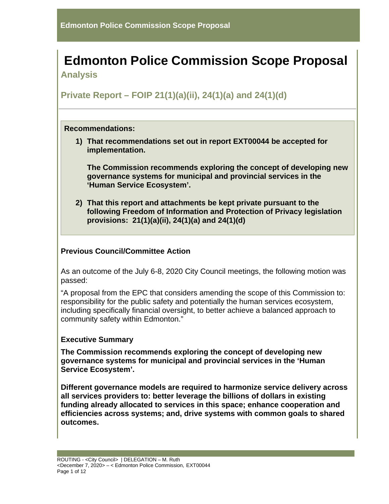# **Edmonton Police Commission Scope Proposal Analysis**

**Private Report – FOIP 21(1)(a)(ii), 24(1)(a) and 24(1)(d)**

## **Recommendations:**

**1) That recommendations set out in report EXT00044 be accepted for implementation.**

**The Commission recommends exploring the concept of developing new governance systems for municipal and provincial services in the 'Human Service Ecosystem'.** 

**2) That this report and attachments be kept private pursuant to the following Freedom of Information and Protection of Privacy legislation provisions: 21(1)(a)(ii), 24(1)(a) and 24(1)(d)**

# **Previous Council/Committee Action**

As an outcome of the July 6-8, 2020 City Council meetings, the following motion was passed:

"A proposal from the EPC that considers amending the scope of this Commission to: responsibility for the public safety and potentially the human services ecosystem, including specifically financial oversight, to better achieve a balanced approach to community safety within Edmonton."

# **Executive Summary**

**The Commission recommends exploring the concept of developing new governance systems for municipal and provincial services in the 'Human Service Ecosystem'.** 

**Different governance models are required to harmonize service delivery across all services providers to: better leverage the billions of dollars in existing funding already allocated to services in this space; enhance cooperation and efficiencies across systems; and, drive systems with common goals to shared outcomes.**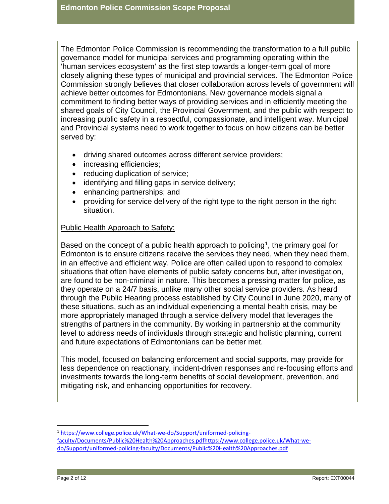The Edmonton Police Commission is recommending the transformation to a full public governance model for municipal services and programming operating within the 'human services ecosystem' as the first step towards a longer-term goal of more closely aligning these types of municipal and provincial services. The Edmonton Police Commission strongly believes that closer collaboration across levels of government will achieve better outcomes for Edmontonians. New governance models signal a commitment to finding better ways of providing services and in efficiently meeting the shared goals of City Council, the Provincial Government, and the public with respect to increasing public safety in a respectful, compassionate, and intelligent way. Municipal and Provincial systems need to work together to focus on how citizens can be better served by:

- driving shared outcomes across different service providers;
- increasing efficiencies;
- reducing duplication of service;
- identifying and filling gaps in service delivery;
- enhancing partnerships; and
- providing for service delivery of the right type to the right person in the right situation.

## Public Health Approach to Safety:

Based on the concept of a public health approach to policing<sup>1</sup>, the primary goal for Edmonton is to ensure citizens receive the services they need, when they need them, in an effective and efficient way. Police are often called upon to respond to complex situations that often have elements of public safety concerns but, after investigation, are found to be non-criminal in nature. This becomes a pressing matter for police, as they operate on a 24/7 basis, unlike many other social service providers. As heard through the Public Hearing process established by City Council in June 2020, many of these situations, such as an individual experiencing a mental health crisis, may be more appropriately managed through a service delivery model that leverages the strengths of partners in the community. By working in partnership at the community level to address needs of individuals through strategic and holistic planning, current and future expectations of Edmontonians can be better met.

This model, focused on balancing enforcement and social supports, may provide for less dependence on reactionary, incident-driven responses and re-focusing efforts and investments towards the long-term benefits of social development, prevention, and mitigating risk, and enhancing opportunities for recovery.

<span id="page-1-0"></span><sup>1</sup> [https://www.college.police.uk/What-we-do/Support/uniformed-policing](https://www.college.police.uk/What-we-do/Support/uniformed-policing-faculty/Documents/Public%20Health%20Approaches.pdf)[faculty/Documents/Public%20Health%20Approaches.pdfhttps://www.college.police.uk/What-we](https://www.college.police.uk/What-we-do/Support/uniformed-policing-faculty/Documents/Public%20Health%20Approaches.pdf)[do/Support/uniformed-policing-faculty/Documents/Public%20Health%20Approaches.pdf](https://www.college.police.uk/What-we-do/Support/uniformed-policing-faculty/Documents/Public%20Health%20Approaches.pdf)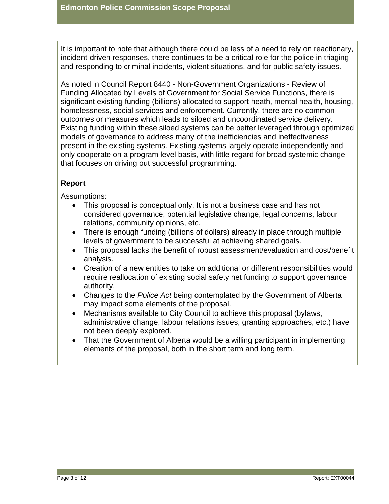It is important to note that although there could be less of a need to rely on reactionary, incident-driven responses, there continues to be a critical role for the police in triaging and responding to criminal incidents, violent situations, and for public safety issues.

As noted in Council Report 8440 - Non-Government Organizations - Review of Funding Allocated by Levels of Government for Social Service Functions, there is significant existing funding (billions) allocated to support heath, mental health, housing, homelessness, social services and enforcement. Currently, there are no common outcomes or measures which leads to siloed and uncoordinated service delivery. Existing funding within these siloed systems can be better leveraged through optimized models of governance to address many of the inefficiencies and ineffectiveness present in the existing systems. Existing systems largely operate independently and only cooperate on a program level basis, with little regard for broad systemic change that focuses on driving out successful programming.

# **Report**

## Assumptions:

- This proposal is conceptual only. It is not a business case and has not considered governance, potential legislative change, legal concerns, labour relations, community opinions, etc.
- There is enough funding (billions of dollars) already in place through multiple levels of government to be successful at achieving shared goals.
- This proposal lacks the benefit of robust assessment/evaluation and cost/benefit analysis.
- Creation of a new entities to take on additional or different responsibilities would require reallocation of existing social safety net funding to support governance authority.
- Changes to the *Police Act* being contemplated by the Government of Alberta may impact some elements of the proposal.
- Mechanisms available to City Council to achieve this proposal (bylaws, administrative change, labour relations issues, granting approaches, etc.) have not been deeply explored.
- That the Government of Alberta would be a willing participant in implementing elements of the proposal, both in the short term and long term.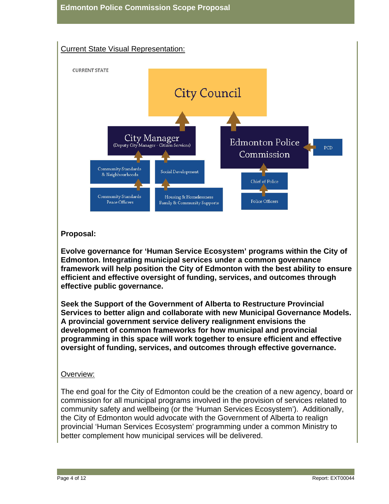

# **Proposal:**

**Evolve governance for 'Human Service Ecosystem' programs within the City of Edmonton. Integrating municipal services under a common governance framework will help position the City of Edmonton with the best ability to ensure efficient and effective oversight of funding, services, and outcomes through effective public governance.**

**Seek the Support of the Government of Alberta to Restructure Provincial Services to better align and collaborate with new Municipal Governance Models. A provincial government service delivery realignment envisions the development of common frameworks for how municipal and provincial programming in this space will work together to ensure efficient and effective oversight of funding, services, and outcomes through effective governance.**

# Overview:

The end goal for the City of Edmonton could be the creation of a new agency, board or commission for all municipal programs involved in the provision of services related to community safety and wellbeing (or the 'Human Services Ecosystem'). Additionally, the City of Edmonton would advocate with the Government of Alberta to realign provincial 'Human Services Ecosystem' programming under a common Ministry to better complement how municipal services will be delivered.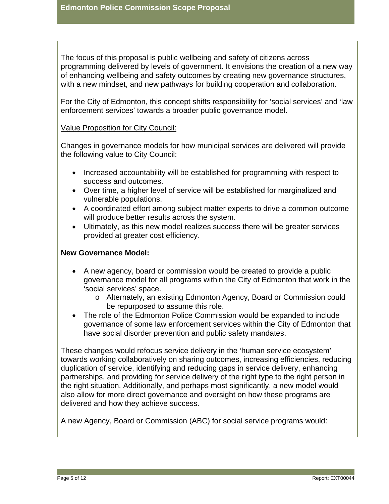The focus of this proposal is public wellbeing and safety of citizens across programming delivered by levels of government. It envisions the creation of a new way of enhancing wellbeing and safety outcomes by creating new governance structures, with a new mindset, and new pathways for building cooperation and collaboration.

For the City of Edmonton, this concept shifts responsibility for 'social services' and 'law enforcement services' towards a broader public governance model.

## Value Proposition for City Council:

Changes in governance models for how municipal services are delivered will provide the following value to City Council:

- Increased accountability will be established for programming with respect to success and outcomes.
- Over time, a higher level of service will be established for marginalized and vulnerable populations.
- A coordinated effort among subject matter experts to drive a common outcome will produce better results across the system.
- Ultimately, as this new model realizes success there will be greater services provided at greater cost efficiency.

## **New Governance Model:**

- A new agency, board or commission would be created to provide a public governance model for all programs within the City of Edmonton that work in the 'social services' space.
	- o Alternately, an existing Edmonton Agency, Board or Commission could be repurposed to assume this role.
- The role of the Edmonton Police Commission would be expanded to include governance of some law enforcement services within the City of Edmonton that have social disorder prevention and public safety mandates.

These changes would refocus service delivery in the 'human service ecosystem' towards working collaboratively on sharing outcomes, increasing efficiencies, reducing duplication of service, identifying and reducing gaps in service delivery, enhancing partnerships, and providing for service delivery of the right type to the right person in the right situation. Additionally, and perhaps most significantly, a new model would also allow for more direct governance and oversight on how these programs are delivered and how they achieve success.

A new Agency, Board or Commission (ABC) for social service programs would: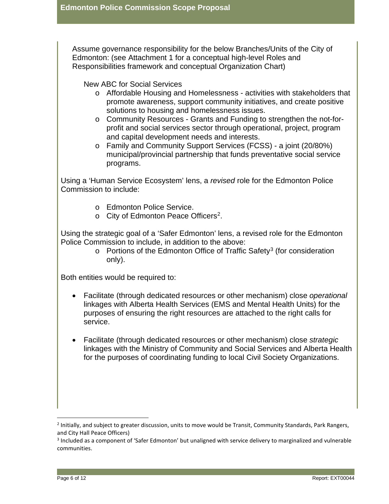Assume governance responsibility for the below Branches/Units of the City of Edmonton: (see Attachment 1 for a conceptual high-level Roles and Responsibilities framework and conceptual Organization Chart)

New ABC for Social Services

- o Affordable Housing and Homelessness activities with stakeholders that promote awareness, support community initiatives, and create positive solutions to housing and homelessness issues.
- o Community Resources Grants and Funding to strengthen the not-forprofit and social services sector through operational, project, program and capital development needs and interests.
- o Family and Community Support Services (FCSS) a joint (20/80%) municipal/provincial partnership that funds preventative social service programs.

Using a 'Human Service Ecosystem' lens, a *revised* role for the Edmonton Police Commission to include:

- o Edmonton Police Service.
- o City of Edmonton Peace Officer[s2.](#page-5-0)

Using the strategic goal of a 'Safer Edmonton' lens, a revised role for the Edmonton Police Commission to include, in addition to the above:

o Portions of the Edmonton Office of Traffic Safety<sup>[3](#page-5-1)</sup> (for consideration only).

Both entities would be required to:

- Facilitate (through dedicated resources or other mechanism) close *operational*  linkages with Alberta Health Services (EMS and Mental Health Units) for the purposes of ensuring the right resources are attached to the right calls for service.
- Facilitate (through dedicated resources or other mechanism) close *strategic* linkages with the Ministry of Community and Social Services and Alberta Health for the purposes of coordinating funding to local Civil Society Organizations.

<span id="page-5-0"></span><sup>&</sup>lt;sup>2</sup> Initially, and subject to greater discussion, units to move would be Transit, Community Standards, Park Rangers, and City Hall Peace Officers)

<span id="page-5-1"></span><sup>&</sup>lt;sup>3</sup> Included as a component of 'Safer Edmonton' but unaligned with service delivery to marginalized and vulnerable communities.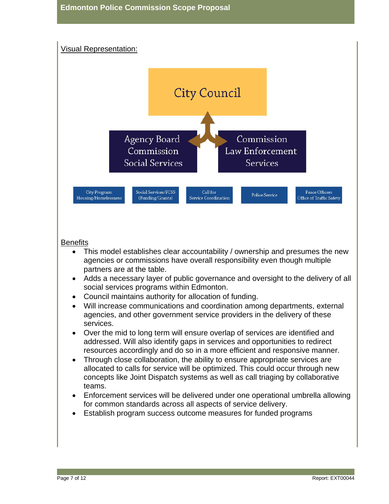# Visual Representation:



# **Benefits**

- This model establishes clear accountability / ownership and presumes the new agencies or commissions have overall responsibility even though multiple partners are at the table.
- Adds a necessary layer of public governance and oversight to the delivery of all social services programs within Edmonton.
- Council maintains authority for allocation of funding.
- Will increase communications and coordination among departments, external agencies, and other government service providers in the delivery of these services.
- Over the mid to long term will ensure overlap of services are identified and addressed. Will also identify gaps in services and opportunities to redirect resources accordingly and do so in a more efficient and responsive manner.
- Through close collaboration, the ability to ensure appropriate services are allocated to calls for service will be optimized. This could occur through new concepts like Joint Dispatch systems as well as call triaging by collaborative teams.
- Enforcement services will be delivered under one operational umbrella allowing for common standards across all aspects of service delivery.
- Establish program success outcome measures for funded programs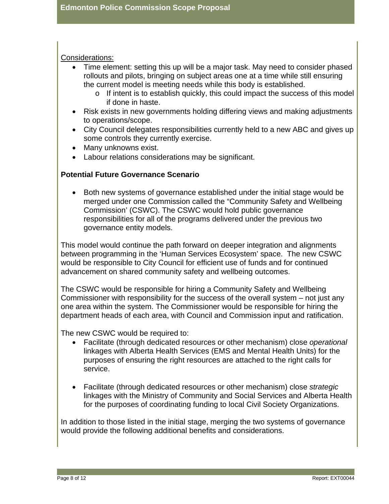#### Considerations:

- Time element: setting this up will be a major task. May need to consider phased rollouts and pilots, bringing on subject areas one at a time while still ensuring the current model is meeting needs while this body is established.
	- o If intent is to establish quickly, this could impact the success of this model if done in haste.
- Risk exists in new governments holding differing views and making adjustments to operations/scope.
- City Council delegates responsibilities currently held to a new ABC and gives up some controls they currently exercise.
- Many unknowns exist.
- Labour relations considerations may be significant.

## **Potential Future Governance Scenario**

• Both new systems of governance established under the initial stage would be merged under one Commission called the "Community Safety and Wellbeing Commission' (CSWC). The CSWC would hold public governance responsibilities for all of the programs delivered under the previous two governance entity models.

This model would continue the path forward on deeper integration and alignments between programming in the 'Human Services Ecosystem' space. The new CSWC would be responsible to City Council for efficient use of funds and for continued advancement on shared community safety and wellbeing outcomes.

The CSWC would be responsible for hiring a Community Safety and Wellbeing Commissioner with responsibility for the success of the overall system – not just any one area within the system. The Commissioner would be responsible for hiring the department heads of each area, with Council and Commission input and ratification.

The new CSWC would be required to:

- Facilitate (through dedicated resources or other mechanism) close *operational*  linkages with Alberta Health Services (EMS and Mental Health Units) for the purposes of ensuring the right resources are attached to the right calls for service.
- Facilitate (through dedicated resources or other mechanism) close *strategic* linkages with the Ministry of Community and Social Services and Alberta Health for the purposes of coordinating funding to local Civil Society Organizations.

In addition to those listed in the initial stage, merging the two systems of governance would provide the following additional benefits and considerations.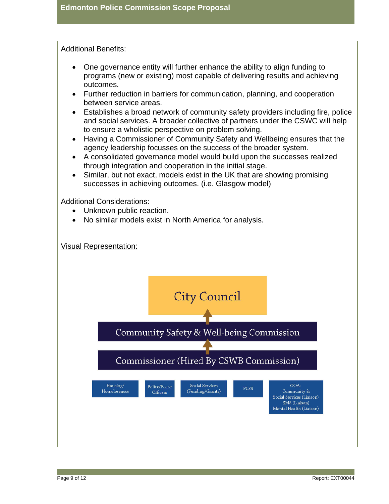Additional Benefits:

- One governance entity will further enhance the ability to align funding to programs (new or existing) most capable of delivering results and achieving outcomes.
- Further reduction in barriers for communication, planning, and cooperation between service areas.
- Establishes a broad network of community safety providers including fire, police and social services. A broader collective of partners under the CSWC will help to ensure a wholistic perspective on problem solving.
- Having a Commissioner of Community Safety and Wellbeing ensures that the agency leadership focusses on the success of the broader system.
- A consolidated governance model would build upon the successes realized through integration and cooperation in the initial stage.
- Similar, but not exact, models exist in the UK that are showing promising successes in achieving outcomes. (i.e. Glasgow model)

Additional Considerations:

- Unknown public reaction.
- No similar models exist in North America for analysis.



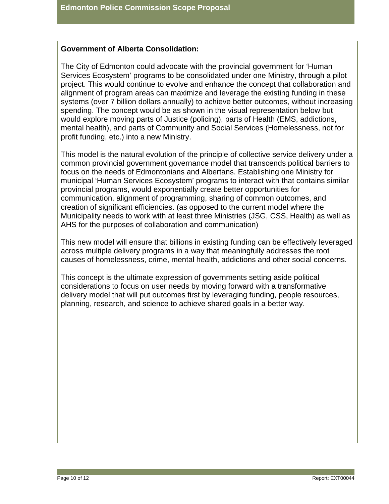## **Government of Alberta Consolidation:**

The City of Edmonton could advocate with the provincial government for 'Human Services Ecosystem' programs to be consolidated under one Ministry, through a pilot project. This would continue to evolve and enhance the concept that collaboration and alignment of program areas can maximize and leverage the existing funding in these systems (over 7 billion dollars annually) to achieve better outcomes, without increasing spending. The concept would be as shown in the visual representation below but would explore moving parts of Justice (policing), parts of Health (EMS, addictions, mental health), and parts of Community and Social Services (Homelessness, not for profit funding, etc.) into a new Ministry.

This model is the natural evolution of the principle of collective service delivery under a common provincial government governance model that transcends political barriers to focus on the needs of Edmontonians and Albertans. Establishing one Ministry for municipal 'Human Services Ecosystem' programs to interact with that contains similar provincial programs, would exponentially create better opportunities for communication, alignment of programming, sharing of common outcomes, and creation of significant efficiencies. (as opposed to the current model where the Municipality needs to work with at least three Ministries (JSG, CSS, Health) as well as AHS for the purposes of collaboration and communication)

This new model will ensure that billions in existing funding can be effectively leveraged across multiple delivery programs in a way that meaningfully addresses the root causes of homelessness, crime, mental health, addictions and other social concerns.

This concept is the ultimate expression of governments setting aside political considerations to focus on user needs by moving forward with a transformative delivery model that will put outcomes first by leveraging funding, people resources, planning, research, and science to achieve shared goals in a better way.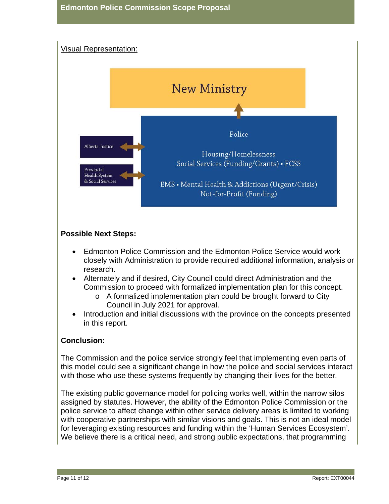

## **Possible Next Steps:**

- Edmonton Police Commission and the Edmonton Police Service would work closely with Administration to provide required additional information, analysis or research.
- Alternately and if desired, City Council could direct Administration and the Commission to proceed with formalized implementation plan for this concept.
	- o A formalized implementation plan could be brought forward to City Council in July 2021 for approval.
- Introduction and initial discussions with the province on the concepts presented in this report.

## **Conclusion:**

The Commission and the police service strongly feel that implementing even parts of this model could see a significant change in how the police and social services interact with those who use these systems frequently by changing their lives for the better.

The existing public governance model for policing works well, within the narrow silos assigned by statutes. However, the ability of the Edmonton Police Commission or the police service to affect change within other service delivery areas is limited to working with cooperative partnerships with similar visions and goals. This is not an ideal model for leveraging existing resources and funding within the 'Human Services Ecosystem'. We believe there is a critical need, and strong public expectations, that programming